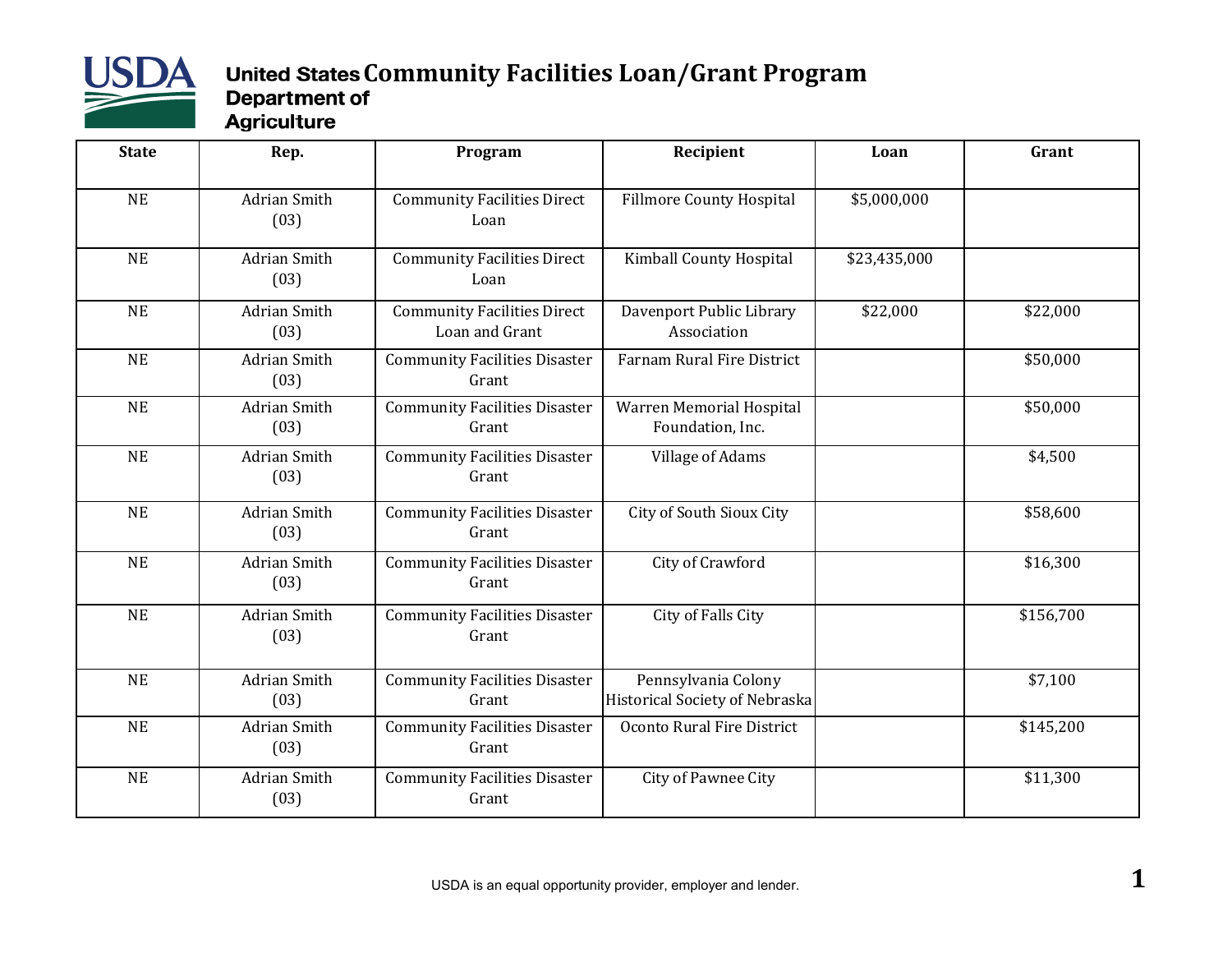

## **United States Community Facilities Loan/Grant Program**<br>Department of Agriculture

| <b>State</b> | Rep.                        | Program                                              | Recipient                                             | Loan         | Grant     |
|--------------|-----------------------------|------------------------------------------------------|-------------------------------------------------------|--------------|-----------|
| <b>NE</b>    | <b>Adrian Smith</b><br>(03) | <b>Community Facilities Direct</b><br>Loan           | <b>Fillmore County Hospital</b>                       | \$5,000,000  |           |
| NE           | <b>Adrian Smith</b><br>(03) | <b>Community Facilities Direct</b><br>Loan           | Kimball County Hospital                               | \$23,435,000 |           |
| <b>NE</b>    | <b>Adrian Smith</b><br>(03) | <b>Community Facilities Direct</b><br>Loan and Grant | Davenport Public Library<br>Association               | \$22,000     | \$22,000  |
| <b>NE</b>    | <b>Adrian Smith</b><br>(03) | <b>Community Facilities Disaster</b><br>Grant        | Farnam Rural Fire District                            |              | \$50,000  |
| <b>NE</b>    | <b>Adrian Smith</b><br>(03) | <b>Community Facilities Disaster</b><br>Grant        | Warren Memorial Hospital<br>Foundation, Inc.          |              | \$50,000  |
| <b>NE</b>    | <b>Adrian Smith</b><br>(03) | <b>Community Facilities Disaster</b><br>Grant        | Village of Adams                                      |              | \$4,500   |
| <b>NE</b>    | <b>Adrian Smith</b><br>(03) | <b>Community Facilities Disaster</b><br>Grant        | City of South Sioux City                              |              | \$58,600  |
| NE           | <b>Adrian Smith</b><br>(03) | <b>Community Facilities Disaster</b><br>Grant        | City of Crawford                                      |              | \$16,300  |
| <b>NE</b>    | <b>Adrian Smith</b><br>(03) | <b>Community Facilities Disaster</b><br>Grant        | City of Falls City                                    |              | \$156,700 |
| <b>NE</b>    | <b>Adrian Smith</b><br>(03) | <b>Community Facilities Disaster</b><br>Grant        | Pennsylvania Colony<br>Historical Society of Nebraska |              | \$7,100   |
| <b>NE</b>    | <b>Adrian Smith</b><br>(03) | <b>Community Facilities Disaster</b><br>Grant        | Oconto Rural Fire District                            |              | \$145,200 |
| <b>NE</b>    | <b>Adrian Smith</b><br>(03) | <b>Community Facilities Disaster</b><br>Grant        | City of Pawnee City                                   |              | \$11,300  |